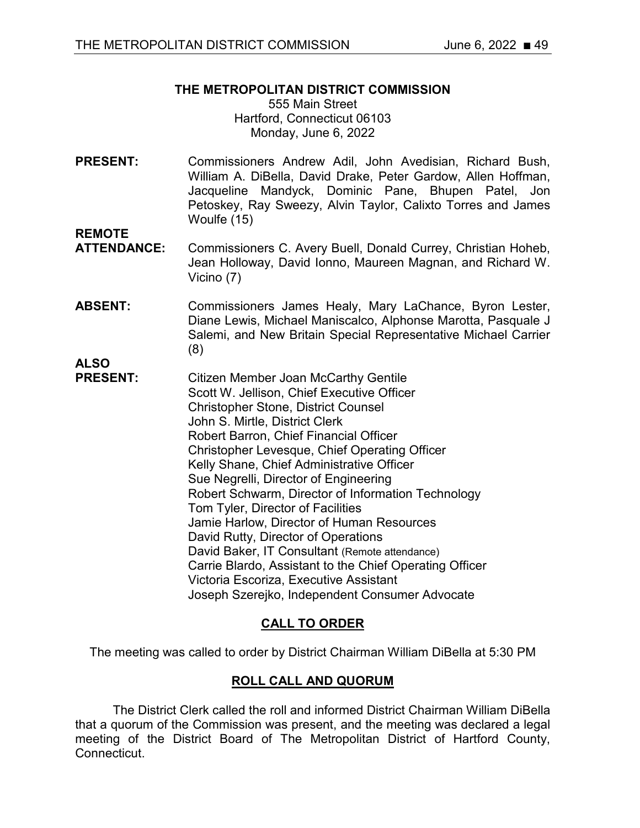## **THE METROPOLITAN DISTRICT COMMISSION**

555 Main Street Hartford, Connecticut 06103 Monday, June 6, 2022

**PRESENT:** Commissioners Andrew Adil, John Avedisian, Richard Bush, William A. DiBella, David Drake, Peter Gardow, Allen Hoffman, Jacqueline Mandyck, Dominic Pane, Bhupen Patel, Jon Petoskey, Ray Sweezy, Alvin Taylor, Calixto Torres and James Woulfe (15)

- **REMOTE**  Commissioners C. Avery Buell, Donald Currey, Christian Hoheb, Jean Holloway, David Ionno, Maureen Magnan, and Richard W. Vicino (7)
- **ABSENT:** Commissioners James Healy, Mary LaChance, Byron Lester, Diane Lewis, Michael Maniscalco, Alphonse Marotta, Pasquale J Salemi, and New Britain Special Representative Michael Carrier (8)

**ALSO**

**PRESENT:** Citizen Member Joan McCarthy Gentile Scott W. Jellison, Chief Executive Officer Christopher Stone, District Counsel John S. Mirtle, District Clerk Robert Barron, Chief Financial Officer Christopher Levesque, Chief Operating Officer Kelly Shane, Chief Administrative Officer Sue Negrelli, Director of Engineering Robert Schwarm, Director of Information Technology Tom Tyler, Director of Facilities Jamie Harlow, Director of Human Resources David Rutty, Director of Operations David Baker, IT Consultant (Remote attendance) Carrie Blardo, Assistant to the Chief Operating Officer Victoria Escoriza, Executive Assistant Joseph Szerejko, Independent Consumer Advocate

# **CALL TO ORDER**

The meeting was called to order by District Chairman William DiBella at 5:30 PM

# **ROLL CALL AND QUORUM**

The District Clerk called the roll and informed District Chairman William DiBella that a quorum of the Commission was present, and the meeting was declared a legal meeting of the District Board of The Metropolitan District of Hartford County, Connecticut.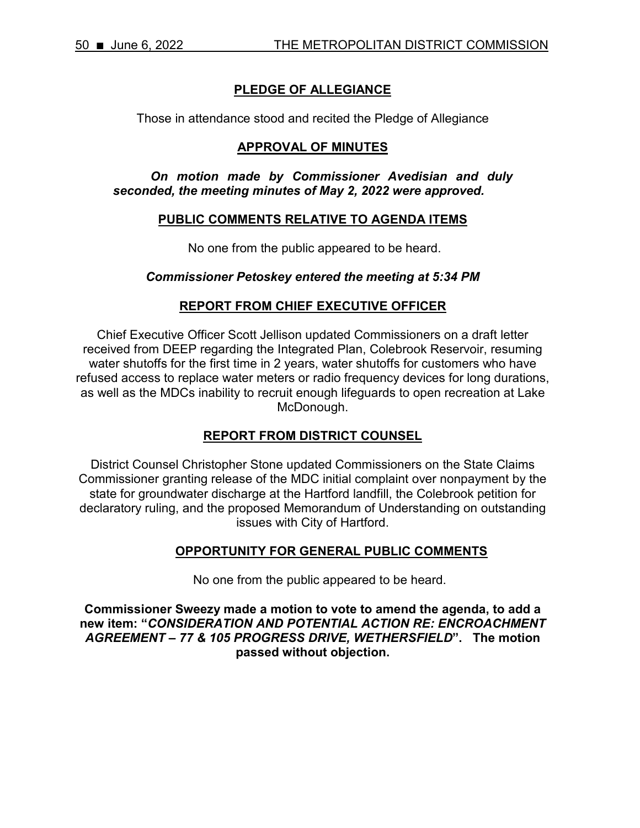## **PLEDGE OF ALLEGIANCE**

Those in attendance stood and recited the Pledge of Allegiance

### **APPROVAL OF MINUTES**

*On motion made by Commissioner Avedisian and duly seconded, the meeting minutes of May 2, 2022 were approved.* 

#### **PUBLIC COMMENTS RELATIVE TO AGENDA ITEMS**

No one from the public appeared to be heard.

#### *Commissioner Petoskey entered the meeting at 5:34 PM*

#### **REPORT FROM CHIEF EXECUTIVE OFFICER**

Chief Executive Officer Scott Jellison updated Commissioners on a draft letter received from DEEP regarding the Integrated Plan, Colebrook Reservoir, resuming water shutoffs for the first time in 2 years, water shutoffs for customers who have refused access to replace water meters or radio frequency devices for long durations, as well as the MDCs inability to recruit enough lifeguards to open recreation at Lake McDonough.

### **REPORT FROM DISTRICT COUNSEL**

District Counsel Christopher Stone updated Commissioners on the State Claims Commissioner granting release of the MDC initial complaint over nonpayment by the state for groundwater discharge at the Hartford landfill, the Colebrook petition for declaratory ruling, and the proposed Memorandum of Understanding on outstanding issues with City of Hartford.

#### **OPPORTUNITY FOR GENERAL PUBLIC COMMENTS**

No one from the public appeared to be heard.

**Commissioner Sweezy made a motion to vote to amend the agenda, to add a new item: "***CONSIDERATION AND POTENTIAL ACTION RE: ENCROACHMENT AGREEMENT – 77 & 105 PROGRESS DRIVE, WETHERSFIELD***". The motion passed without objection.**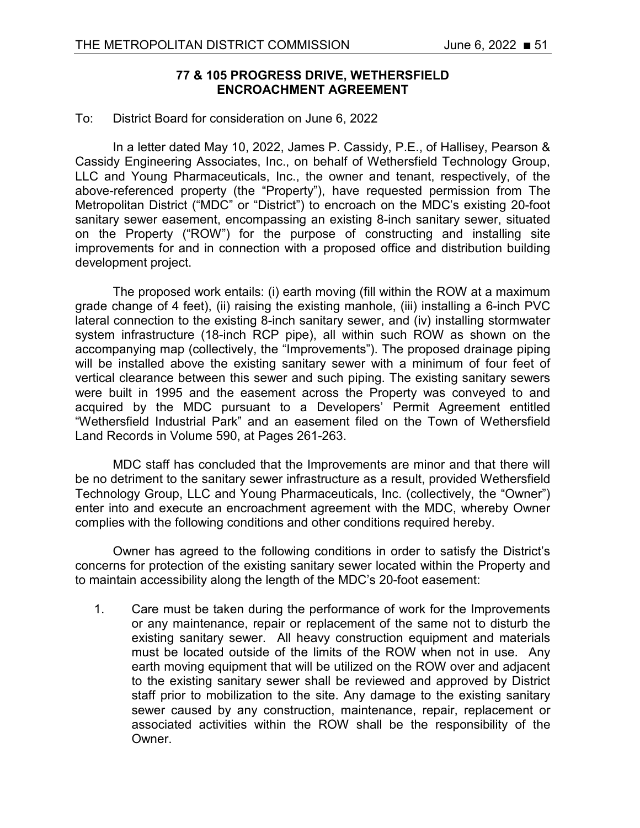## **77 & 105 PROGRESS DRIVE, WETHERSFIELD ENCROACHMENT AGREEMENT**

#### To: District Board for consideration on June 6, 2022

In a letter dated May 10, 2022, James P. Cassidy, P.E., of Hallisey, Pearson & Cassidy Engineering Associates, Inc., on behalf of Wethersfield Technology Group, LLC and Young Pharmaceuticals, Inc., the owner and tenant, respectively, of the above-referenced property (the "Property"), have requested permission from The Metropolitan District ("MDC" or "District") to encroach on the MDC's existing 20-foot sanitary sewer easement, encompassing an existing 8-inch sanitary sewer, situated on the Property ("ROW") for the purpose of constructing and installing site improvements for and in connection with a proposed office and distribution building development project.

The proposed work entails: (i) earth moving (fill within the ROW at a maximum grade change of 4 feet), (ii) raising the existing manhole, (iii) installing a 6-inch PVC lateral connection to the existing 8-inch sanitary sewer, and (iv) installing stormwater system infrastructure (18-inch RCP pipe), all within such ROW as shown on the accompanying map (collectively, the "Improvements"). The proposed drainage piping will be installed above the existing sanitary sewer with a minimum of four feet of vertical clearance between this sewer and such piping. The existing sanitary sewers were built in 1995 and the easement across the Property was conveyed to and acquired by the MDC pursuant to a Developers' Permit Agreement entitled "Wethersfield Industrial Park" and an easement filed on the Town of Wethersfield Land Records in Volume 590, at Pages 261-263.

MDC staff has concluded that the Improvements are minor and that there will be no detriment to the sanitary sewer infrastructure as a result, provided Wethersfield Technology Group, LLC and Young Pharmaceuticals, Inc. (collectively, the "Owner") enter into and execute an encroachment agreement with the MDC, whereby Owner complies with the following conditions and other conditions required hereby.

Owner has agreed to the following conditions in order to satisfy the District's concerns for protection of the existing sanitary sewer located within the Property and to maintain accessibility along the length of the MDC's 20-foot easement:

1. Care must be taken during the performance of work for the Improvements or any maintenance, repair or replacement of the same not to disturb the existing sanitary sewer. All heavy construction equipment and materials must be located outside of the limits of the ROW when not in use. Any earth moving equipment that will be utilized on the ROW over and adjacent to the existing sanitary sewer shall be reviewed and approved by District staff prior to mobilization to the site. Any damage to the existing sanitary sewer caused by any construction, maintenance, repair, replacement or associated activities within the ROW shall be the responsibility of the Owner.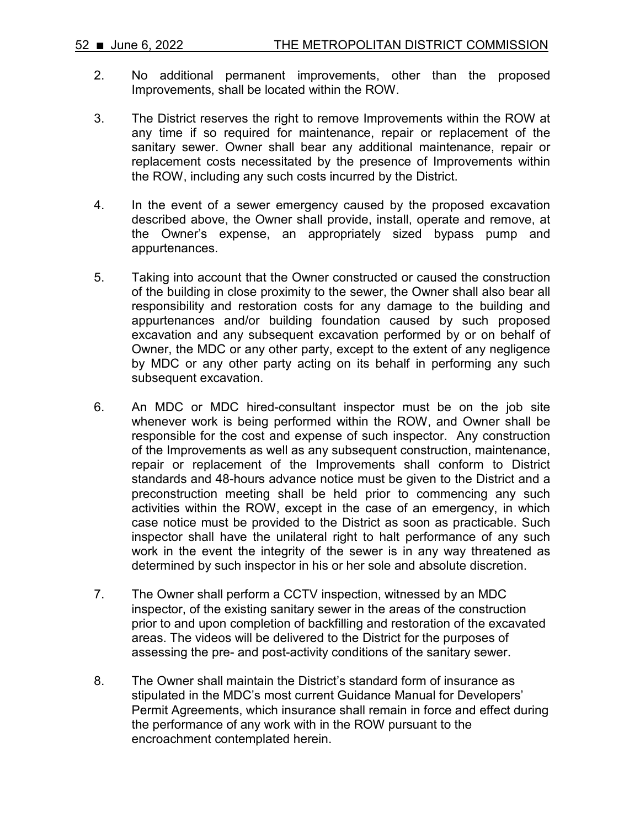- 2. No additional permanent improvements, other than the proposed Improvements, shall be located within the ROW.
- 3. The District reserves the right to remove Improvements within the ROW at any time if so required for maintenance, repair or replacement of the sanitary sewer. Owner shall bear any additional maintenance, repair or replacement costs necessitated by the presence of Improvements within the ROW, including any such costs incurred by the District.
- 4. In the event of a sewer emergency caused by the proposed excavation described above, the Owner shall provide, install, operate and remove, at the Owner's expense, an appropriately sized bypass pump and appurtenances.
- 5. Taking into account that the Owner constructed or caused the construction of the building in close proximity to the sewer, the Owner shall also bear all responsibility and restoration costs for any damage to the building and appurtenances and/or building foundation caused by such proposed excavation and any subsequent excavation performed by or on behalf of Owner, the MDC or any other party, except to the extent of any negligence by MDC or any other party acting on its behalf in performing any such subsequent excavation.
- 6. An MDC or MDC hired-consultant inspector must be on the job site whenever work is being performed within the ROW, and Owner shall be responsible for the cost and expense of such inspector. Any construction of the Improvements as well as any subsequent construction, maintenance, repair or replacement of the Improvements shall conform to District standards and 48-hours advance notice must be given to the District and a preconstruction meeting shall be held prior to commencing any such activities within the ROW, except in the case of an emergency, in which case notice must be provided to the District as soon as practicable. Such inspector shall have the unilateral right to halt performance of any such work in the event the integrity of the sewer is in any way threatened as determined by such inspector in his or her sole and absolute discretion.
- 7. The Owner shall perform a CCTV inspection, witnessed by an MDC inspector, of the existing sanitary sewer in the areas of the construction prior to and upon completion of backfilling and restoration of the excavated areas. The videos will be delivered to the District for the purposes of assessing the pre- and post-activity conditions of the sanitary sewer.
- 8. The Owner shall maintain the District's standard form of insurance as stipulated in the MDC's most current Guidance Manual for Developers' Permit Agreements, which insurance shall remain in force and effect during the performance of any work with in the ROW pursuant to the encroachment contemplated herein.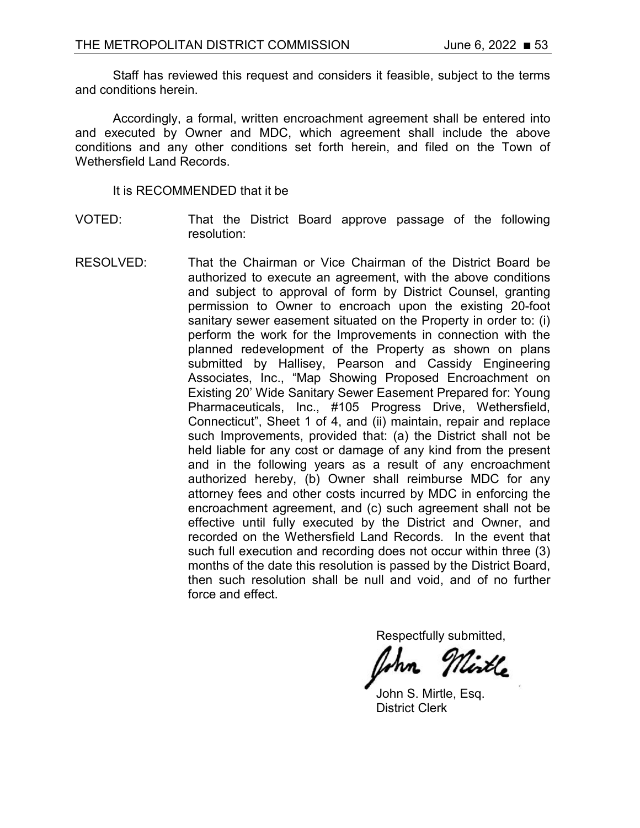Staff has reviewed this request and considers it feasible, subject to the terms and conditions herein.

Accordingly, a formal, written encroachment agreement shall be entered into and executed by Owner and MDC, which agreement shall include the above conditions and any other conditions set forth herein, and filed on the Town of Wethersfield Land Records.

It is RECOMMENDED that it be

- VOTED: That the District Board approve passage of the following resolution:
- RESOLVED: That the Chairman or Vice Chairman of the District Board be authorized to execute an agreement, with the above conditions and subject to approval of form by District Counsel, granting permission to Owner to encroach upon the existing 20-foot sanitary sewer easement situated on the Property in order to: (i) perform the work for the Improvements in connection with the planned redevelopment of the Property as shown on plans submitted by Hallisey, Pearson and Cassidy Engineering Associates, Inc., "Map Showing Proposed Encroachment on Existing 20' Wide Sanitary Sewer Easement Prepared for: Young Pharmaceuticals, Inc., #105 Progress Drive, Wethersfield, Connecticut", Sheet 1 of 4, and (ii) maintain, repair and replace such Improvements, provided that: (a) the District shall not be held liable for any cost or damage of any kind from the present and in the following years as a result of any encroachment authorized hereby, (b) Owner shall reimburse MDC for any attorney fees and other costs incurred by MDC in enforcing the encroachment agreement, and (c) such agreement shall not be effective until fully executed by the District and Owner, and recorded on the Wethersfield Land Records. In the event that such full execution and recording does not occur within three (3) months of the date this resolution is passed by the District Board, then such resolution shall be null and void, and of no further force and effect.

Respectfully submitted,

John S. Mirtle, Esq. District Clerk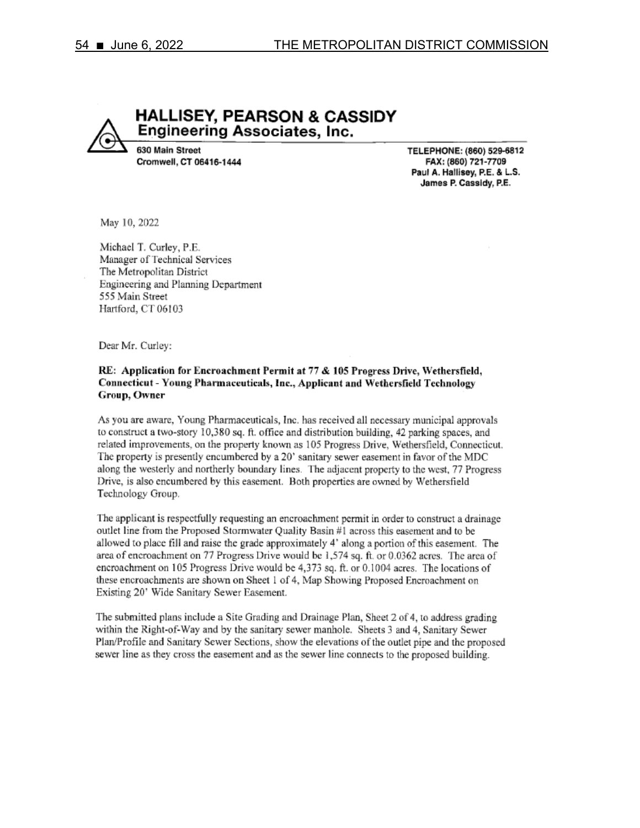**HALLISEY, PEARSON & CASSIDY Engineering Associates, Inc.** 630 Main Street

TELEPHONE: (860) 529-6812 FAX: (860) 721-7709 Paul A. Hallisey, P.E. & L.S. James P. Cassidy, P.E.

May 10, 2022

Michael T. Curley, P.E. Manager of Technical Services The Metropolitan District Engineering and Planning Department 555 Main Street Hartford, CT 06103

Cromwell, CT 06416-1444

Dear Mr. Curley:

#### RE: Application for Encroachment Permit at 77 & 105 Progress Drive, Wethersfield, Connecticut - Young Pharmaceuticals, Inc., Applicant and Wethersfield Technology Group, Owner

As you are aware, Young Pharmaceuticals, Inc. has received all necessary municipal approvals to construct a two-story 10,380 sq. ft. office and distribution building, 42 parking spaces, and related improvements, on the property known as 105 Progress Drive, Wethersfield, Connecticut, The property is presently encumbered by a 20' sanitary sewer easement in favor of the MDC along the westerly and northerly boundary lines. The adjacent property to the west, 77 Progress Drive, is also encumbered by this easement. Both properties are owned by Wethersfield Technology Group.

The applicant is respectfully requesting an encroachment permit in order to construct a drainage outlet line from the Proposed Stormwater Quality Basin #1 across this easement and to be allowed to place fill and raise the grade approximately 4' along a portion of this easement. The area of encroachment on 77 Progress Drive would be 1,574 sq. ft. or 0.0362 acres. The area of encroachment on 105 Progress Drive would be 4,373 sq. ft. or 0.1004 acres. The locations of these encroachments are shown on Sheet 1 of 4, Map Showing Proposed Encroachment on Existing 20' Wide Sanitary Sewer Easement.

The submitted plans include a Site Grading and Drainage Plan, Sheet 2 of 4, to address grading within the Right-of-Way and by the sanitary sewer manhole. Sheets 3 and 4, Sanitary Sewer Plan/Profile and Sanitary Sewer Sections, show the elevations of the outlet pipe and the proposed sewer line as they cross the easement and as the sewer line connects to the proposed building.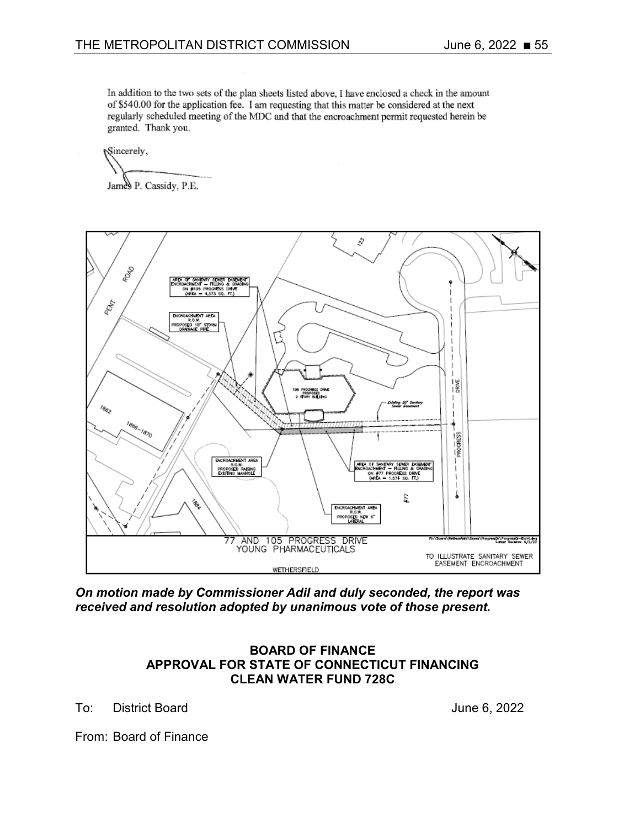In addition to the two sets of the plan sheets listed above, I have enclosed a check in the amount of \$540.00 for the application fee. I am requesting that this matter be considered at the next regularly scheduled meeting of the MDC and that the encroachment permit requested herein be granted. Thank you.

Sincerely,

James P. Cassidy, P.E.



*On motion made by Commissioner Adil and duly seconded, the report was received and resolution adopted by unanimous vote of those present.*

### **BOARD OF FINANCE APPROVAL FOR STATE OF CONNECTICUT FINANCING CLEAN WATER FUND 728C**

To: District Board June 6, 2022

From: Board of Finance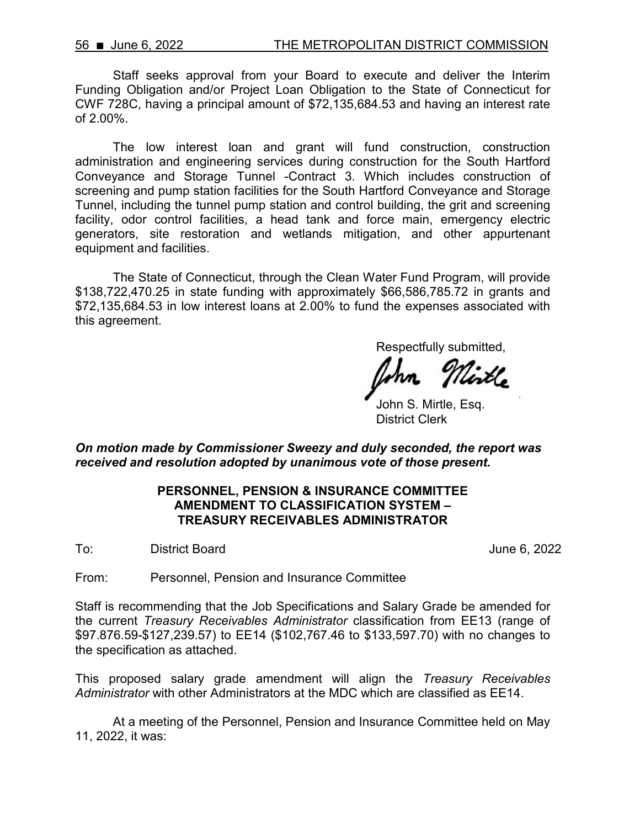Staff seeks approval from your Board to execute and deliver the Interim Funding Obligation and/or Project Loan Obligation to the State of Connecticut for CWF 728C, having a principal amount of \$72,135,684.53 and having an interest rate of 2.00%.

The low interest loan and grant will fund construction, construction administration and engineering services during construction for the South Hartford Conveyance and Storage Tunnel -Contract 3. Which includes construction of screening and pump station facilities for the South Hartford Conveyance and Storage Tunnel, including the tunnel pump station and control building, the grit and screening facility, odor control facilities, a head tank and force main, emergency electric generators, site restoration and wetlands mitigation, and other appurtenant equipment and facilities.

The State of Connecticut, through the Clean Water Fund Program, will provide \$138,722,470.25 in state funding with approximately \$66,586,785.72 in grants and \$72,135,684.53 in low interest loans at 2.00% to fund the expenses associated with this agreement.

Respectfully submitted,

John S. Mirtle, Esq. District Clerk

*On motion made by Commissioner Sweezy and duly seconded, the report was received and resolution adopted by unanimous vote of those present.*

### **PERSONNEL, PENSION & INSURANCE COMMITTEE AMENDMENT TO CLASSIFICATION SYSTEM – TREASURY RECEIVABLES ADMINISTRATOR**

To: District Board **District Board June 6, 2022** 

From: Personnel, Pension and Insurance Committee

Staff is recommending that the Job Specifications and Salary Grade be amended for the current *Treasury Receivables Administrator* classification from EE13 (range of \$97.876.59-\$127,239.57) to EE14 (\$102,767.46 to \$133,597.70) with no changes to the specification as attached.

This proposed salary grade amendment will align the *Treasury Receivables Administrator* with other Administrators at the MDC which are classified as EE14.

At a meeting of the Personnel, Pension and Insurance Committee held on May 11, 2022, it was: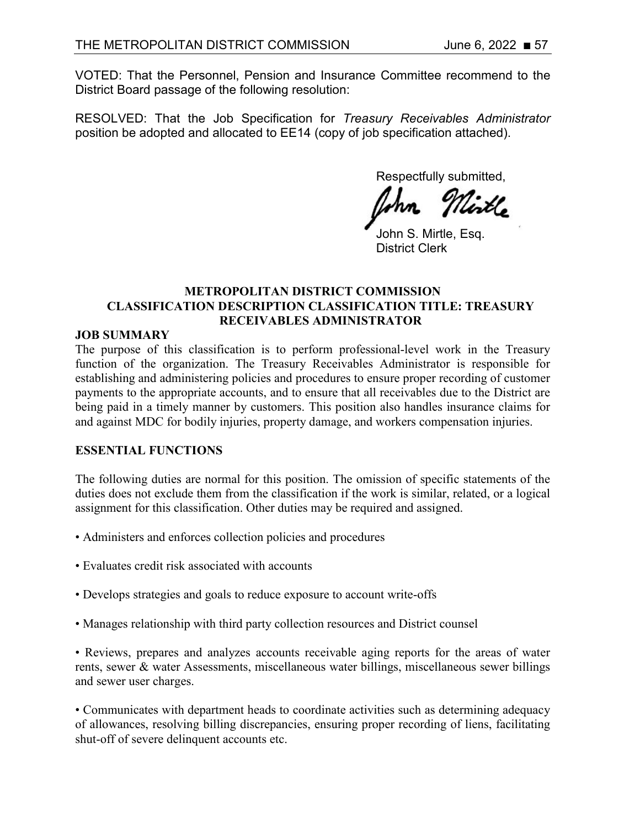VOTED: That the Personnel, Pension and Insurance Committee recommend to the District Board passage of the following resolution:

RESOLVED: That the Job Specification for *Treasury Receivables Administrator*  position be adopted and allocated to EE14 (copy of job specification attached).

Respectfully submitted,

John S. Mirtle, Esq. District Clerk

### **METROPOLITAN DISTRICT COMMISSION CLASSIFICATION DESCRIPTION CLASSIFICATION TITLE: TREASURY RECEIVABLES ADMINISTRATOR**

### **JOB SUMMARY**

The purpose of this classification is to perform professional-level work in the Treasury function of the organization. The Treasury Receivables Administrator is responsible for establishing and administering policies and procedures to ensure proper recording of customer payments to the appropriate accounts, and to ensure that all receivables due to the District are being paid in a timely manner by customers. This position also handles insurance claims for and against MDC for bodily injuries, property damage, and workers compensation injuries.

### **ESSENTIAL FUNCTIONS**

The following duties are normal for this position. The omission of specific statements of the duties does not exclude them from the classification if the work is similar, related, or a logical assignment for this classification. Other duties may be required and assigned.

- Administers and enforces collection policies and procedures
- Evaluates credit risk associated with accounts
- Develops strategies and goals to reduce exposure to account write-offs
- Manages relationship with third party collection resources and District counsel

• Reviews, prepares and analyzes accounts receivable aging reports for the areas of water rents, sewer & water Assessments, miscellaneous water billings, miscellaneous sewer billings and sewer user charges.

• Communicates with department heads to coordinate activities such as determining adequacy of allowances, resolving billing discrepancies, ensuring proper recording of liens, facilitating shut-off of severe delinquent accounts etc.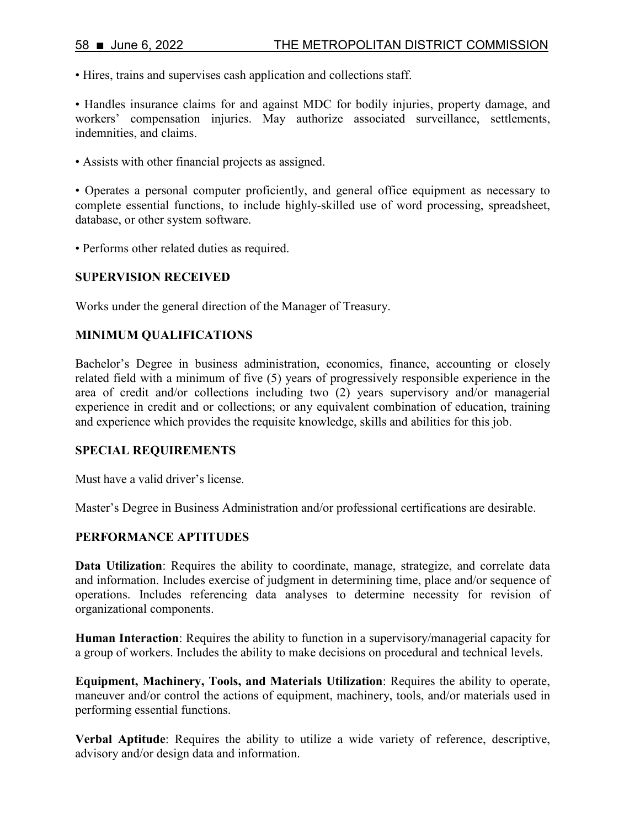• Hires, trains and supervises cash application and collections staff.

• Handles insurance claims for and against MDC for bodily injuries, property damage, and workers' compensation injuries. May authorize associated surveillance, settlements, indemnities, and claims.

• Assists with other financial projects as assigned.

• Operates a personal computer proficiently, and general office equipment as necessary to complete essential functions, to include highly-skilled use of word processing, spreadsheet, database, or other system software.

• Performs other related duties as required.

### **SUPERVISION RECEIVED**

Works under the general direction of the Manager of Treasury.

### **MINIMUM QUALIFICATIONS**

Bachelor's Degree in business administration, economics, finance, accounting or closely related field with a minimum of five (5) years of progressively responsible experience in the area of credit and/or collections including two (2) years supervisory and/or managerial experience in credit and or collections; or any equivalent combination of education, training and experience which provides the requisite knowledge, skills and abilities for this job.

#### **SPECIAL REQUIREMENTS**

Must have a valid driver's license.

Master's Degree in Business Administration and/or professional certifications are desirable.

#### **PERFORMANCE APTITUDES**

**Data Utilization**: Requires the ability to coordinate, manage, strategize, and correlate data and information. Includes exercise of judgment in determining time, place and/or sequence of operations. Includes referencing data analyses to determine necessity for revision of organizational components.

**Human Interaction**: Requires the ability to function in a supervisory/managerial capacity for a group of workers. Includes the ability to make decisions on procedural and technical levels.

**Equipment, Machinery, Tools, and Materials Utilization**: Requires the ability to operate, maneuver and/or control the actions of equipment, machinery, tools, and/or materials used in performing essential functions.

**Verbal Aptitude**: Requires the ability to utilize a wide variety of reference, descriptive, advisory and/or design data and information.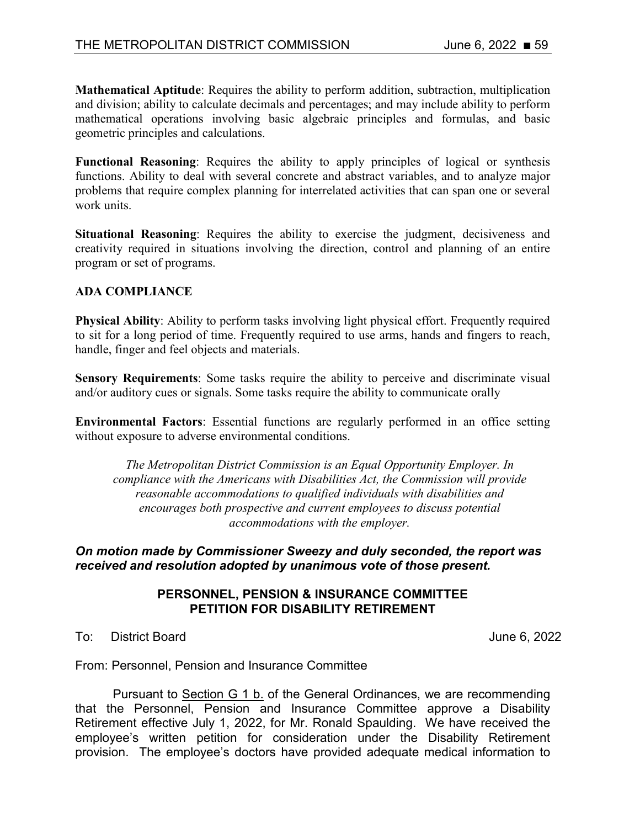**Mathematical Aptitude**: Requires the ability to perform addition, subtraction, multiplication and division; ability to calculate decimals and percentages; and may include ability to perform mathematical operations involving basic algebraic principles and formulas, and basic geometric principles and calculations.

**Functional Reasoning**: Requires the ability to apply principles of logical or synthesis functions. Ability to deal with several concrete and abstract variables, and to analyze major problems that require complex planning for interrelated activities that can span one or several work units.

**Situational Reasoning**: Requires the ability to exercise the judgment, decisiveness and creativity required in situations involving the direction, control and planning of an entire program or set of programs.

#### **ADA COMPLIANCE**

**Physical Ability**: Ability to perform tasks involving light physical effort. Frequently required to sit for a long period of time. Frequently required to use arms, hands and fingers to reach, handle, finger and feel objects and materials.

**Sensory Requirements**: Some tasks require the ability to perceive and discriminate visual and/or auditory cues or signals. Some tasks require the ability to communicate orally

**Environmental Factors**: Essential functions are regularly performed in an office setting without exposure to adverse environmental conditions.

*The Metropolitan District Commission is an Equal Opportunity Employer. In compliance with the Americans with Disabilities Act, the Commission will provide reasonable accommodations to qualified individuals with disabilities and encourages both prospective and current employees to discuss potential accommodations with the employer.*

#### *On motion made by Commissioner Sweezy and duly seconded, the report was received and resolution adopted by unanimous vote of those present.*

#### **PERSONNEL, PENSION & INSURANCE COMMITTEE PETITION FOR DISABILITY RETIREMENT**

To: District Board June 6, 2022

From: Personnel, Pension and Insurance Committee

Pursuant to Section G 1 b. of the General Ordinances, we are recommending that the Personnel, Pension and Insurance Committee approve a Disability Retirement effective July 1, 2022, for Mr. Ronald Spaulding. We have received the employee's written petition for consideration under the Disability Retirement provision. The employee's doctors have provided adequate medical information to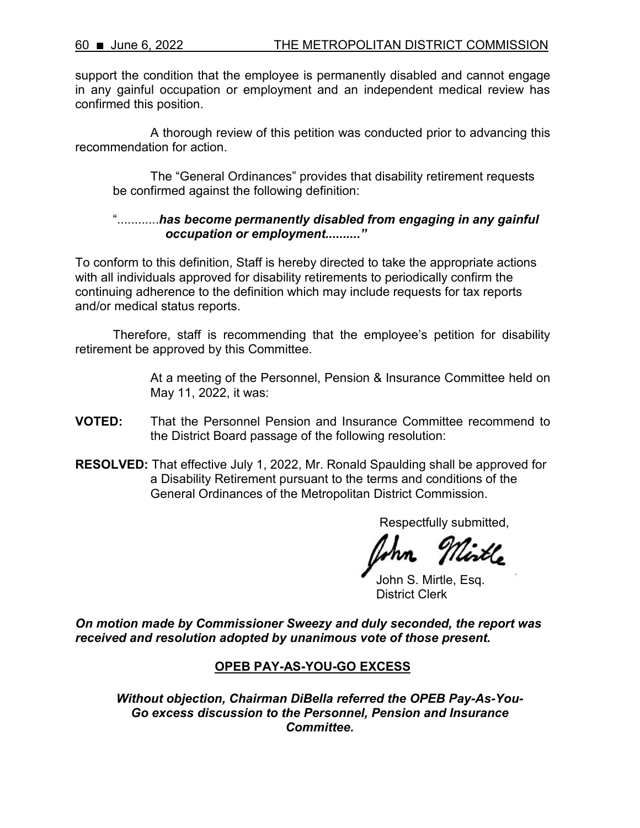support the condition that the employee is permanently disabled and cannot engage in any gainful occupation or employment and an independent medical review has confirmed this position.

A thorough review of this petition was conducted prior to advancing this recommendation for action.

The "General Ordinances" provides that disability retirement requests be confirmed against the following definition:

## "............*has become permanently disabled from engaging in any gainful occupation or employment.........."*

To conform to this definition, Staff is hereby directed to take the appropriate actions with all individuals approved for disability retirements to periodically confirm the continuing adherence to the definition which may include requests for tax reports and/or medical status reports.

Therefore, staff is recommending that the employee's petition for disability retirement be approved by this Committee.

> At a meeting of the Personnel, Pension & Insurance Committee held on May 11, 2022, it was:

- **VOTED:** That the Personnel Pension and Insurance Committee recommend to the District Board passage of the following resolution:
- **RESOLVED:** That effective July 1, 2022, Mr. Ronald Spaulding shall be approved for a Disability Retirement pursuant to the terms and conditions of the General Ordinances of the Metropolitan District Commission.

Respectfully submitted,

John S. Mirtle, Esq. District Clerk

*On motion made by Commissioner Sweezy and duly seconded, the report was received and resolution adopted by unanimous vote of those present.*

# **OPEB PAY-AS-YOU-GO EXCESS**

*Without objection, Chairman DiBella referred the OPEB Pay-As-You-Go excess discussion to the Personnel, Pension and Insurance Committee.*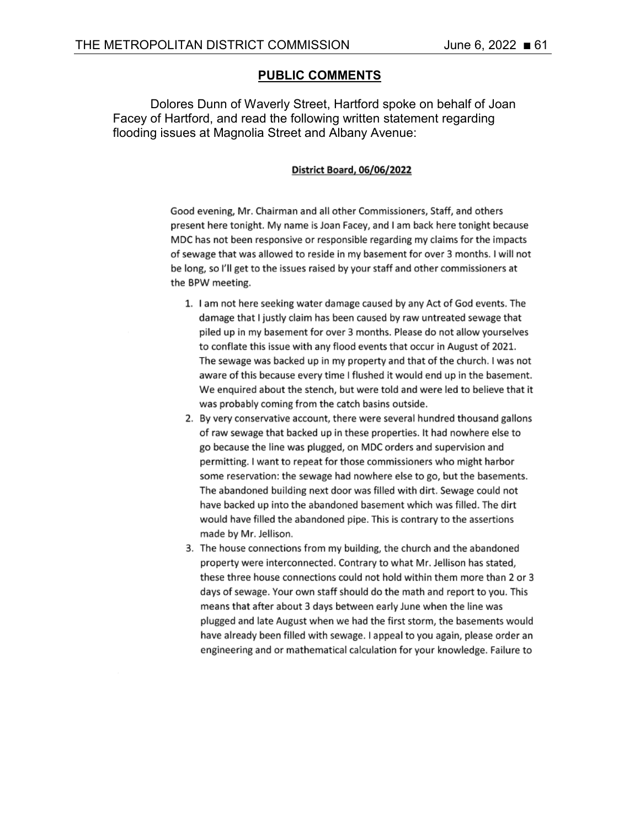### **PUBLIC COMMENTS**

Dolores Dunn of Waverly Street, Hartford spoke on behalf of Joan Facey of Hartford, and read the following written statement regarding flooding issues at Magnolia Street and Albany Avenue:

#### District Board, 06/06/2022

Good evening, Mr. Chairman and all other Commissioners, Staff, and others present here tonight. My name is Joan Facey, and I am back here tonight because MDC has not been responsive or responsible regarding my claims for the impacts of sewage that was allowed to reside in my basement for over 3 months. I will not be long, so I'll get to the issues raised by your staff and other commissioners at the BPW meeting.

- 1. I am not here seeking water damage caused by any Act of God events. The damage that I justly claim has been caused by raw untreated sewage that piled up in my basement for over 3 months. Please do not allow yourselves to conflate this issue with any flood events that occur in August of 2021. The sewage was backed up in my property and that of the church. I was not aware of this because every time I flushed it would end up in the basement. We enquired about the stench, but were told and were led to believe that it was probably coming from the catch basins outside.
- 2. By very conservative account, there were several hundred thousand gallons of raw sewage that backed up in these properties. It had nowhere else to go because the line was plugged, on MDC orders and supervision and permitting. I want to repeat for those commissioners who might harbor some reservation: the sewage had nowhere else to go, but the basements. The abandoned building next door was filled with dirt. Sewage could not have backed up into the abandoned basement which was filled. The dirt would have filled the abandoned pipe. This is contrary to the assertions made by Mr. Jellison.
- 3. The house connections from my building, the church and the abandoned property were interconnected. Contrary to what Mr. Jellison has stated, these three house connections could not hold within them more than 2 or 3 days of sewage. Your own staff should do the math and report to you. This means that after about 3 days between early June when the line was plugged and late August when we had the first storm, the basements would have already been filled with sewage. I appeal to you again, please order an engineering and or mathematical calculation for your knowledge. Failure to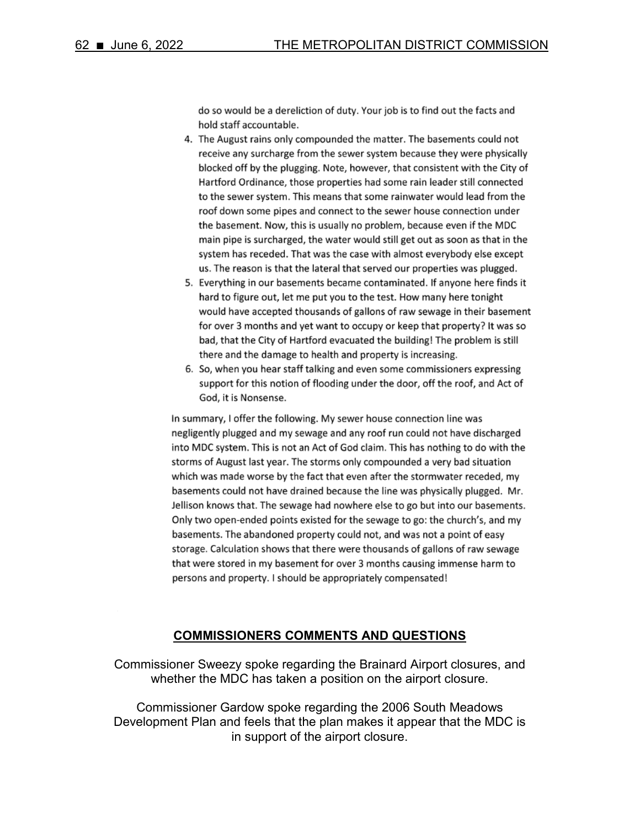do so would be a dereliction of duty. Your job is to find out the facts and hold staff accountable.

- 4. The August rains only compounded the matter. The basements could not receive any surcharge from the sewer system because they were physically blocked off by the plugging. Note, however, that consistent with the City of Hartford Ordinance, those properties had some rain leader still connected to the sewer system. This means that some rainwater would lead from the roof down some pipes and connect to the sewer house connection under the basement. Now, this is usually no problem, because even if the MDC main pipe is surcharged, the water would still get out as soon as that in the system has receded. That was the case with almost everybody else except us. The reason is that the lateral that served our properties was plugged.
- 5. Everything in our basements became contaminated. If anyone here finds it hard to figure out, let me put you to the test. How many here tonight would have accepted thousands of gallons of raw sewage in their basement for over 3 months and yet want to occupy or keep that property? It was so bad, that the City of Hartford evacuated the building! The problem is still there and the damage to health and property is increasing.
- 6. So, when you hear staff talking and even some commissioners expressing support for this notion of flooding under the door, off the roof, and Act of God, it is Nonsense.

In summary, I offer the following. My sewer house connection line was negligently plugged and my sewage and any roof run could not have discharged into MDC system. This is not an Act of God claim. This has nothing to do with the storms of August last year. The storms only compounded a very bad situation which was made worse by the fact that even after the stormwater receded, my basements could not have drained because the line was physically plugged. Mr. Jellison knows that. The sewage had nowhere else to go but into our basements. Only two open-ended points existed for the sewage to go: the church's, and my basements. The abandoned property could not, and was not a point of easy storage. Calculation shows that there were thousands of gallons of raw sewage that were stored in my basement for over 3 months causing immense harm to persons and property. I should be appropriately compensated!

#### **COMMISSIONERS COMMENTS AND QUESTIONS**

Commissioner Sweezy spoke regarding the Brainard Airport closures, and whether the MDC has taken a position on the airport closure.

Commissioner Gardow spoke regarding the 2006 South Meadows Development Plan and feels that the plan makes it appear that the MDC is in support of the airport closure.